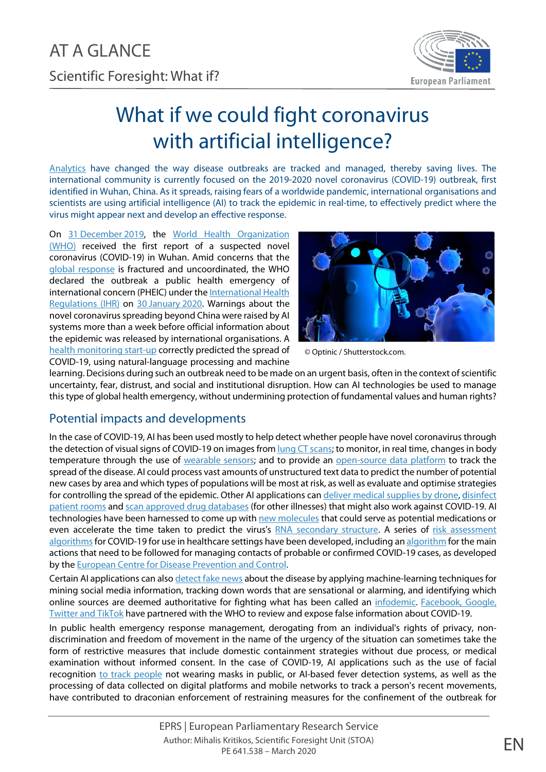

## What if we could fight coronavirus with artificial intelligence?

[Analytics](https://www.wired.com/story/how-ai-tracking-coronavirus-outbreak/) have changed the way disease outbreaks are tracked and managed, thereby saving lives. The international community is currently focused on the 2019-2020 novel coronavirus (COVID-19) outbreak, first identified in Wuhan, China. As it spreads, raising fears of a worldwide pandemic, international organisations and scientists are using artificial intelligence (AI) to track the epidemic in real-time, to effectively predict where the virus might appear next and develop an effective response.

On 31 [December](https://www.who.int/docs/default-source/coronaviruse/situation-reports/20200121-sitrep-1-2019-ncov.pdf?sfvrsn=20a99c10_4) 2019, the World Health Organization [\(WHO\)](https://www.who.int/) received the first report of a suspected novel coronavirus (COVID-19) in Wuhan. Amid concerns that the [global response](https://www.nytimes.com/2020/02/24/world/europe/coronavirus-global-response.html) is fractured and uncoordinated, the WHO declared the outbreak a public health emergency of international concern (PHEIC) under the International Health [Regulations \(IHR\)](https://www.who.int/ihr/current/en/) on 30 [January](https://www.who.int/news-room/detail/30-01-2020-statement-on-the-second-meeting-of-the-international-health-regulations-(2005)-emergency-committee-regarding-the-outbreak-of-novel-coronavirus-(2019-ncov)) 2020. Warnings about the novel coronavirus spreading beyond China were raised by AI systems more than a week before official information about the epidemic was released by international organisations. A [health monitoring start-up](https://thenextweb.com/neural/2020/02/21/ai-sent-first-coronavirus-alert-but-underestimated-the-danger/) correctly predicted the spread of COVID-19, using natural-language processing and machine



© Optinic / Shutterstock.com.

learning. Decisions during such an outbreak need to be made on an urgent basis, often in the context of scientific uncertainty, fear, distrust, and social and institutional disruption. How can AI technologies be used to manage this type of global health emergency, without undermining protection of fundamental values and human rights?

## Potential impacts and developments

In the case of COVID-19, AI has been used mostly to help detect whether people have novel coronavirus through the detection of visual signs of COVID-19 on images from [lung CT scans;](https://www.wired.com/story/chinese-hospitals-deploy-ai-help-diagnose-covid-19/) to monitor, in real time, changes in body temperature through the use of [wearable sensors;](https://hitconsultant.net/2020/01/31/shanghai-public-health-clinical-wearable-sensors-coronavirus-in-china/#.XmJ33XdFzo9) and to provide an [open-source data platform](http://ghddi.org/en/node/236) to track the spread of the disease. AI could process vast amounts of [unstructured text data](file:///%5C%5Cusers%5Chendrikdevis%5CLibrary%5CContainers%5Ccom.apple.mail%5CData%5CLibrary%5CMail%20Downloads%5C66BFA8BD-38E3-4776-BA53-62A2F51D765F%5CResearchers%20are%20using%20machine%20learning%20to%20process%20vast%20amounts%20of%20unstructured%20text%20data%20to%20track%20outbreaks%20of%20over%20100%20different%20diseases%20continuously) to predict the number of potential new cases by area and which types of populations will be most at risk, as well as evaluate and optimise strategies for controlling the spread of the epidemic. Other AI applications can [deliver medical supplies by drone,](https://edition.cnn.com/2020/02/23/tech/china-tech-coronavirus-outbreak/index.html) disinfect [patient rooms](https://finance.yahoo.com/news/china-buys-danish-robots-fight-162400695.html?guccounter=1&guce_referrer=aHR0cHM6Ly93d3cudm94LmNvbS9yZWNvZGUvMjAyMC8yLzI3LzIxMTU2MzU4L3N1cnZlaWxsYW5jZS10ZWNoLWNvcm9uYXZpcnVzLWNoaW5hLWZhY2lhbC1yZWNvZ25pdGlvbg&guce_referrer_sig=AQAAAD_kuBwb_qDJck9btozF9IZulwVmiWSKoa3DTIIUFYxurM9GCM-6wAHq1Ha0cYuWPc_OxYM5sDPsMKOTwoNDT1Gwra4-1mZ2lF9huJwP_wSTCLPLP945k0x88shK94JXVX-HJL7cpwzcTdHGE2xtZRKNTnCVGBQS6L2ZS1FbuCQS) and [scan approved drug databases](https://finance.yahoo.com/news/china-buys-danish-robots-fight-162400695.html?guce_referrer=aHR0cHM6Ly93d3cudm94LmNvbS9yZWNvZGUvMjAyMC8yLzI3LzIxMTU2MzU4L3N1cnZlaWxsYW5jZS10ZWNoLWNvcm9uYXZpcnVzLWNoaW5hLWZhY2lhbC1yZWNvZ25pdGlvbg&guce_referrer_sig=AQAAAD_kuBwb_qDJck9btozF9IZulwVmiWSKoa3DTIIUFYxurM9GCM-6wAHq1Ha0cYuWPc_OxYM5sDPsMKOTwoNDT1Gwra4-1mZ2lF9huJwP_wSTCLPLP945k0x88shK94JXVX-HJL7cpwzcTdHGE2xtZRKNTnCVGBQS6L2ZS1FbuCQS) (for other illnesses) that might also work against COVID-19. AI technologies have been harnessed to come up wit[h new molecules](https://fortune.com/2020/02/06/ai-identifies-possible-coronavirus-treatment/) that could serve as potential medications or even accelerate the time taken to predict the virus's [RNA secondary structure.](https://syncedreview.com/2020/02/04/baidu-open-sources-rna-prediction-algorithm-for-2019-novel-coronavirus/) A series of [risk assessment](https://www.hpsc.ie/a-z/respiratory/coronavirus/novelcoronavirus/algorithms/)  [algorithms](https://www.hpsc.ie/a-z/respiratory/coronavirus/novelcoronavirus/algorithms/) for COVID-19 for use in healthcare settings have been developed, including a[n algorithm](https://www.ecdc.europa.eu/en/publications-data/algorithm-management-contacts-probable-or-confirmed-covid-19-cases) for the main actions that need to be followed for managing contacts of probable or confirmed COVID-19 cases, as developed by the [European Centre for Disease Prevention and Control.](https://www.ecdc.europa.eu/en)

Certain AI applications can also [detect fake news](https://www.marketplace.org/2020/02/12/coronavirus-can-artificial-intelligence-be-smart-enough-to-detect-fake-news/) about the disease by applying machine-learning techniques for mining social media information, tracking down words that are sensational or alarming, and identifying which online sources are deemed authoritative for fighting what has been called an [infodemic.](https://www.who.int/dg/speeches/detail/munich-security-conference) [Facebook, Google,](https://www.bbc.com/news/technology-51337357)  [Twitter and TikTok](https://www.bbc.com/news/technology-51337357) have partnered with the WHO to review and expose false information about COVID-19.

In public health emergency response management, derogating from an individual's rights of privacy, nondiscrimination and freedom of movement in the name of the urgency of the situation can sometimes take the form of restrictive measures that include domestic containment strategies without due process, or medical examination without informed consent. In the case of COVID-19, AI applications such as the use of facial recognition [to track people](https://qz.com/1803737/chinas-facial-recognition-tech-can-crack-masked-faces-amid-coronavirus/) not wearing masks in public, or AI-based fever detection systems, as well as the processing of data collected on digital platforms and mobile networks to track a person's recent movements, have contributed to draconian enforcement of restraining measures for the confinement of the outbreak for